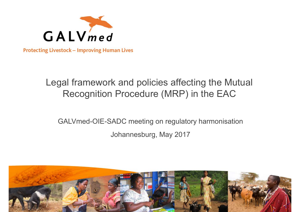

**Protecting Livestock - Improving Human Lives** 

### Legal framework and policies affecting the Mutual Recognition Procedure (MRP) in the EAC

GALVmed-OIE-SADC meeting on regulatory harmonisation Johannesburg, May 2017

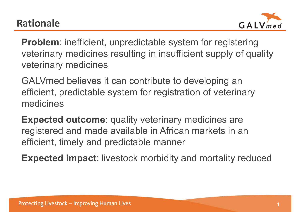

**Problem**: inefficient, unpredictable system for registering veterinary medicines resulting in insufficient supply of quality veterinary medicines

GALVmed believes it can contribute to developing an efficient, predictable system for registration of veterinary medicines

**Expected outcome**: quality veterinary medicines are registered and made available in African markets in an efficient, timely and predictable manner

**Expected impact**: livestock morbidity and mortality reduced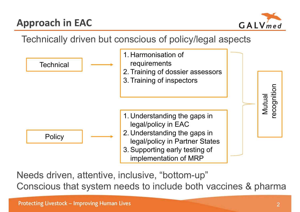## **Approach in EAC**



### Technically driven but conscious of policy/legal aspects



Needs driven, attentive, inclusive, "bottom-up" Conscious that system needs to include both vaccines & pharma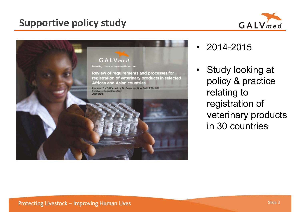### **Supportive policy study**





- 2014-2015
- Study looking at policy & practice relating to registration of veterinary products in 30 countries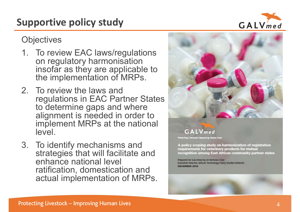### **Supportive policy study**

**Objectives** 

- 1. To review EAC laws/regulations on regulatory harmonisation insofar as they are applicable to the implementation of MRPs.
- 2. To review the laws and regulations in EAC Partner States to determine gaps and where alignment is needed in order to implement MRPs at the national level.
- 3. To identify mechanisms and strategies that will facilitate and enhance national level ratification, domestication and actual implementation of MRPs.





A policy scoping study on harmonization of registration requirements for veterinary products for mutual recognition among East African community partner states

Prepared for GALVmed by Dr Nicholas Ozor Executive Director, African Technology Policy Studies Network



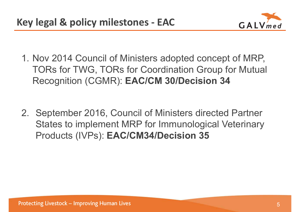

- 1. Nov 2014 Council of Ministers adopted concept of MRP, TORs for TWG, TORs for Coordination Group for Mutual Recognition (CGMR): **EAC/CM 30/Decision 34**
- 2. September 2016, Council of Ministers directed Partner States to implement MRP for Immunological Veterinary Products (IVPs): **EAC/CM34/Decision 35**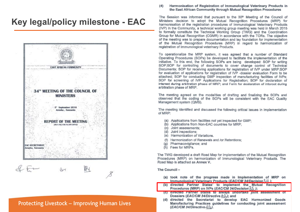### **Key legal/policy milestone - EAC**



### Protecting Livestock - Improving Human Lives

#### Harmonisation of Registration of Immunological Veterinary Products in  $(4)$ the East African Community through Mutual Recognition Procedures

The Session was informed that pursuant to the 30<sup>th</sup> Meeting of the Council of Ministers decision to adopt the Mutual Recognition Procedures (MRP) for harmonisation of the registration procedures of Immunological Veterinary Products (IVP) in the Community, a technical working group meeting was held in March 2015 to formally constitute the Technical Working Group (TWG) and the Coordination Group for Mutual Recognition (CGMR) in accordance with the TORs. The objective of the meeting was to prepare documentation and lay foundation for implementation of the Mutual Recognition Procedures (MRP) in regard to harmonization of registration of Immunological veterinary Products.

To operationalize the MRP system, it was agreed that a number of Standard Operating Procedures (SOPs) be developed to facilitate the implementation of the initiative. To this end, the following SOPs are being developed: SOP for writing SOP;SOP for controlling of documents to cover change control of Technical Documents; SOP for receiving applications for registration of IVP under MRP;SOP for evaluation of applications for registration of IVP -dossier evaluation Form to be attached; SOP for conducting GMP inspection of manufacturing facilities of IVPs; SOP for screening of IVP Applications for Registration; SOP for declaration of interest during arbitration phase of MRP; and Ferm for declaration of intercet during arbitration phase of MRP.

The meeting agreed on the modalities of drafting and finalizing the SOPs and observed that the coding of the SOPs will be consistent with the EAC Quality Management system (QMS).

The meeting identified and discussed the following critical issues in implementation of MRP:

- (a) Applications from facilities not yet inspected for GMP;
- (b) Applications from Non-EAC countries for MRP;
- (c) Joint assessments;
- (d) Joint inspections:
- (e) Harmonization of Variations.
- (f) Harmonization of Renewals and /or Retentions;
- (g) Pharmacovigilance: and
- (h) Fees for MRPs.

The TWG developed a draft Road Map for implementation of the Mutual Recognition Procedures (MRP) on harmonization of Immunological Veterinary Products. The Road Map is attached as Annex V.

The Council-

- (a) took note of the progress made in Implementation of MRP on Immunological Veterinary Products (EAC/CM 34/Decision A4):
- (b) directed Partner States' to implement the Mutual Recognition Procedures (MRP) on IVPs (EAC/CM 34/Decision 35);
- (c) directed Partner States to always undertake joint assessment of Dossiers (EAC/CM 34/Directive A2); and
- (d) directed the Secretariat to develop EAC Harmonized Goods<br>Manufacturing Practices guidelines for conducting joint assessment (EAC/CM 34/Directive 43).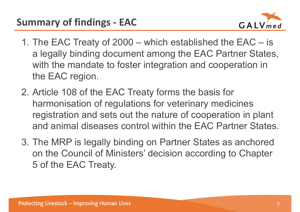

- 1. The EAC Treaty of 2000 which established the EAC is a legally binding document among the EAC Partner States, with the mandate to foster integration and cooperation in the EAC region.
- 2. Article 108 of the EAC Treaty forms the basis for harmonisation of regulations for veterinary medicines registration and sets out the nature of cooperation in plant and animal diseases control within the EAC Partner States.
- 3. The MRP is legally binding on Partner States as anchored on the Council of Ministers' decision according to Chapter 5 of the EAC Treaty.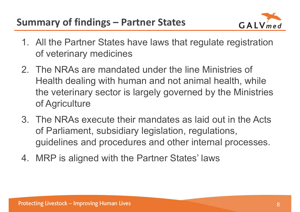

- 1. All the Partner States have laws that regulate registration of veterinary medicines
- 2. The NRAs are mandated under the line Ministries of Health dealing with human and not animal health, while the veterinary sector is largely governed by the Ministries of Agriculture
- 3. The NRAs execute their mandates as laid out in the Acts of Parliament, subsidiary legislation, regulations, guidelines and procedures and other internal processes.
- 4. MRP is aligned with the Partner States' laws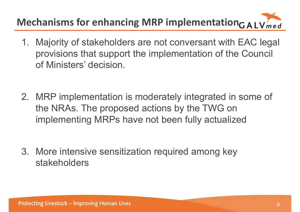## **Mechanisms for enhancing MRP implementation**  $G$  All V med

- 1. Majority of stakeholders are not conversant with EAC legal provisions that support the implementation of the Council of Ministers' decision.
- 2. MRP implementation is moderately integrated in some of the NRAs. The proposed actions by the TWG on implementing MRPs have not been fully actualized

3. More intensive sensitization required among key stakeholders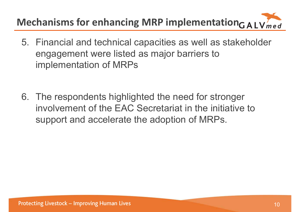## **Mechanisms for enhancing MRP implementation**<sub>G</sub> A I V med

- 5. Financial and technical capacities as well as stakeholder engagement were listed as major barriers to implementation of MRPs
- 6. The respondents highlighted the need for stronger involvement of the EAC Secretariat in the initiative to support and accelerate the adoption of MRPs.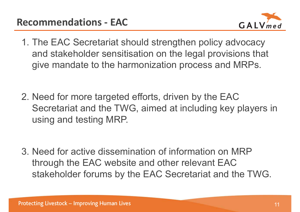

- 1. The EAC Secretariat should strengthen policy advocacy and stakeholder sensitisation on the legal provisions that give mandate to the harmonization process and MRPs.
- 2. Need for more targeted efforts, driven by the EAC Secretariat and the TWG, aimed at including key players in using and testing MRP.

3. Need for active dissemination of information on MRP through the EAC website and other relevant EAC stakeholder forums by the EAC Secretariat and the TWG.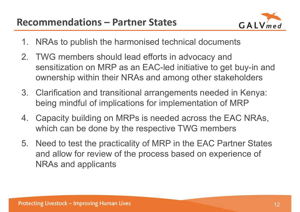

- 1. NRAs to publish the harmonised technical documents
- 2. TWG members should lead efforts in advocacy and sensitization on MRP as an EAC-led initiative to get buy-in and ownership within their NRAs and among other stakeholders
- 3. Clarification and transitional arrangements needed in Kenya: being mindful of implications for implementation of MRP
- 4. Capacity building on MRPs is needed across the EAC NRAs, which can be done by the respective TWG members
- 5. Need to test the practicality of MRP in the EAC Partner States and allow for review of the process based on experience of NRAs and applicants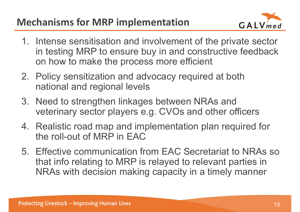### **Mechanisms for MRP implementation**



- 1. Intense sensitisation and involvement of the private sector in testing MRP to ensure buy in and constructive feedback on how to make the process more efficient
- 2. Policy sensitization and advocacy required at both national and regional levels
- 3. Need to strengthen linkages between NRAs and veterinary sector players e.g. CVOs and other officers
- 4. Realistic road map and implementation plan required for the roll-out of MRP in EAC
- 5. Effective communication from EAC Secretariat to NRAs so that info relating to MRP is relayed to relevant parties in NRAs with decision making capacity in a timely manner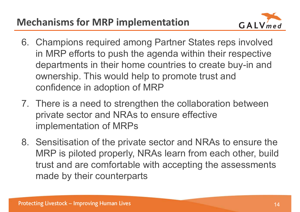### **Mechanisms for MRP implementation**



- 6. Champions required among Partner States reps involved in MRP efforts to push the agenda within their respective departments in their home countries to create buy-in and ownership. This would help to promote trust and confidence in adoption of MRP
- 7. There is a need to strengthen the collaboration between private sector and NRAs to ensure effective implementation of MRPs
- 8. Sensitisation of the private sector and NRAs to ensure the MRP is piloted properly, NRAs learn from each other, build trust and are comfortable with accepting the assessments made by their counterparts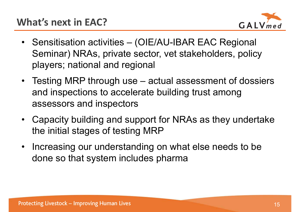

- Sensitisation activities (OIE/AU-IBAR EAC Regional Seminar) NRAs, private sector, vet stakeholders, policy players; national and regional
- Testing MRP through use actual assessment of dossiers and inspections to accelerate building trust among assessors and inspectors
- • Capacity building and support for NRAs as they undertake the initial stages of testing MRP
- Increasing our understanding on what else needs to be done so that system includes pharma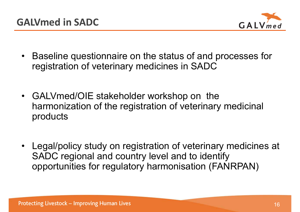

- Baseline questionnaire on the status of and processes for registration of veterinary medicines in SADC
- GALVmed/OIE stakeholder workshop on the harmonization of the registration of veterinary medicinal products
- Legal/policy study on registration of veterinary medicines at SADC regional and country level and to identify opportunities for regulatory harmonisation (FANRPAN)